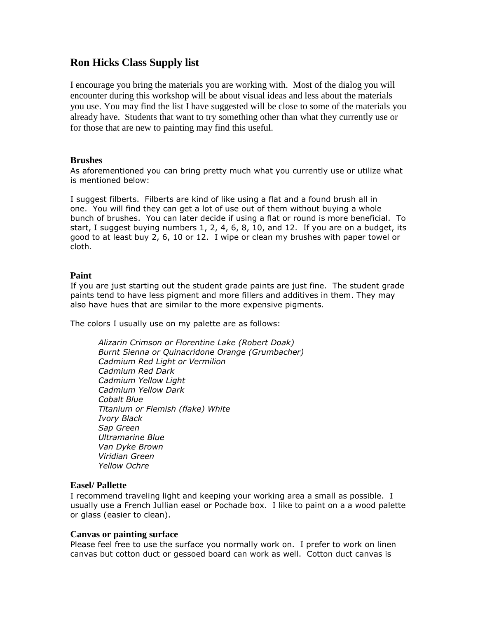# **Ron Hicks Class Supply list**

I encourage you bring the materials you are working with. Most of the dialog you will encounter during this workshop will be about visual ideas and less about the materials you use. You may find the list I have suggested will be close to some of the materials you already have. Students that want to try something other than what they currently use or for those that are new to painting may find this useful.

#### **Brushes**

As aforementioned you can bring pretty much what you currently use or utilize what is mentioned below:

I suggest filberts. Filberts are kind of like using a flat and a found brush all in one. You will find they can get a lot of use out of them without buying a whole bunch of brushes. You can later decide if using a flat or round is more beneficial. To start, I suggest buying numbers 1, 2, 4, 6, 8, 10, and 12. If you are on a budget, its good to at least buy 2, 6, 10 or 12. I wipe or clean my brushes with paper towel or cloth.

## **Paint**

If you are just starting out the student grade paints are just fine. The student grade paints tend to have less pigment and more fillers and additives in them. They may also have hues that are similar to the more expensive pigments.

The colors I usually use on my palette are as follows:

*Alizarin Crimson or Florentine Lake (Robert Doak) Burnt Sienna or Quinacridone Orange (Grumbacher) Cadmium Red Light or Vermilion Cadmium Red Dark Cadmium Yellow Light Cadmium Yellow Dark Cobalt Blue Titanium or Flemish (flake) White Ivory Black Sap Green Ultramarine Blue Van Dyke Brown Viridian Green Yellow Ochre*

## **Easel/ Pallette**

I recommend traveling light and keeping your working area a small as possible. I usually use a French Jullian easel or Pochade box. I like to paint on a a wood palette or glass (easier to clean).

## **Canvas or painting surface**

Please feel free to use the surface you normally work on. I prefer to work on linen canvas but cotton duct or gessoed board can work as well. Cotton duct canvas is